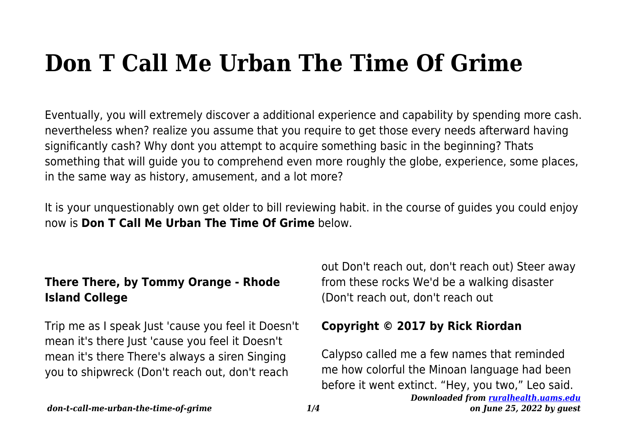# **Don T Call Me Urban The Time Of Grime**

Eventually, you will extremely discover a additional experience and capability by spending more cash. nevertheless when? realize you assume that you require to get those every needs afterward having significantly cash? Why dont you attempt to acquire something basic in the beginning? Thats something that will guide you to comprehend even more roughly the globe, experience, some places, in the same way as history, amusement, and a lot more?

It is your unquestionably own get older to bill reviewing habit. in the course of guides you could enjoy now is **Don T Call Me Urban The Time Of Grime** below.

## **There There, by Tommy Orange - Rhode Island College**

Trip me as I speak Just 'cause you feel it Doesn't mean it's there Just 'cause you feel it Doesn't mean it's there There's always a siren Singing you to shipwreck (Don't reach out, don't reach

out Don't reach out, don't reach out) Steer away from these rocks We'd be a walking disaster (Don't reach out, don't reach out

## **Copyright © 2017 by Rick Riordan**

*Downloaded from [ruralhealth.uams.edu](http://ruralhealth.uams.edu)* Calypso called me a few names that reminded me how colorful the Minoan language had been before it went extinct. "Hey, you two," Leo said.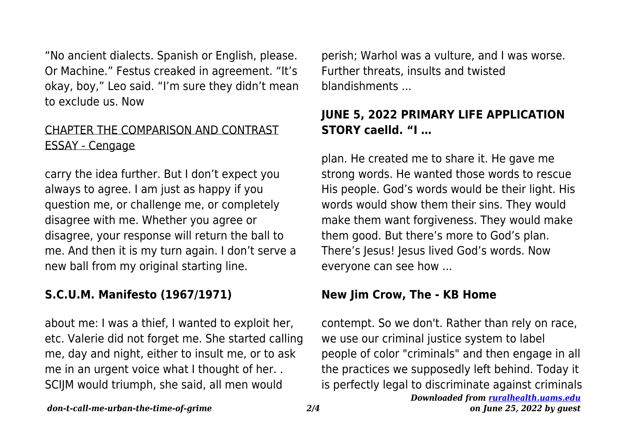"No ancient dialects. Spanish or English, please. Or Machine." Festus creaked in agreement. "It's okay, boy," Leo said. "I'm sure they didn't mean to exclude us. Now

#### CHAPTER THE COMPARISON AND CONTRAST ESSAY - Cengage

carry the idea further. But I don't expect you always to agree. I am just as happy if you question me, or challenge me, or completely disagree with me. Whether you agree or disagree, your response will return the ball to me. And then it is my turn again. I don't serve a new ball from my original starting line.

## **S.C.U.M. Manifesto (1967/1971)**

about me: I was a thief, I wanted to exploit her, etc. Valerie did not forget me. She started calling me, day and night, either to insult me, or to ask me in an urgent voice what I thought of her. . SCIJM would triumph, she said, all men would

perish; Warhol was a vulture, and I was worse. Further threats, insults and twisted blandishments ...

## **JUNE 5, 2022 PRIMARY LIFE APPLICATION STORY caelld. "I …**

plan. He created me to share it. He gave me strong words. He wanted those words to rescue His people. God's words would be their light. His words would show them their sins. They would make them want forgiveness. They would make them good. But there's more to God's plan. There's Jesus! Jesus lived God's words. Now everyone can see how ...

#### **New Jim Crow, The - KB Home**

*Downloaded from [ruralhealth.uams.edu](http://ruralhealth.uams.edu)* contempt. So we don't. Rather than rely on race, we use our criminal justice system to label people of color "criminals" and then engage in all the practices we supposedly left behind. Today it is perfectly legal to discriminate against criminals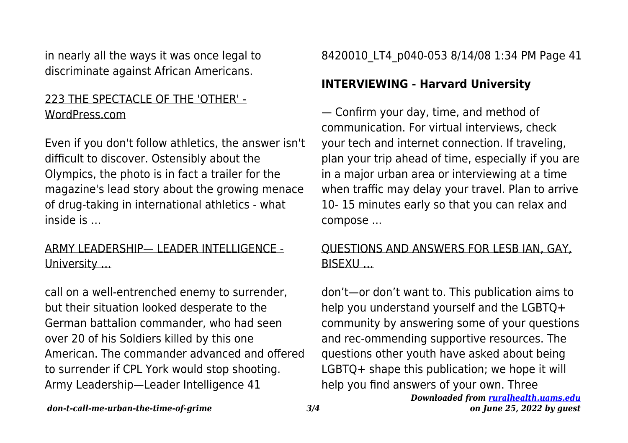in nearly all the ways it was once legal to discriminate against African Americans.

#### 223 THE SPECTACLE OF THE 'OTHER' - WordPress.com

Even if you don't follow athletics, the answer isn't difficult to discover. Ostensibly about the Olympics, the photo is in fact a trailer for the magazine's lead story about the growing menace of drug-taking in international athletics - what inside is …

#### ARMY LEADERSHIP— LEADER INTELLIGENCE - University …

call on a well-entrenched enemy to surrender, but their situation looked desperate to the German battalion commander, who had seen over 20 of his Soldiers killed by this one American. The commander advanced and offered to surrender if CPL York would stop shooting. Army Leadership—Leader Intelligence 41

8420010 LT4 p040-053 8/14/08 1:34 PM Page 41

## **INTERVIEWING - Harvard University**

— Confirm your day, time, and method of communication. For virtual interviews, check your tech and internet connection. If traveling, plan your trip ahead of time, especially if you are in a major urban area or interviewing at a time when traffic may delay your travel. Plan to arrive 10- 15 minutes early so that you can relax and compose ...

## QUESTIONS AND ANSWERS FOR LESB IAN, GAY, BISEXU …

*Downloaded from [ruralhealth.uams.edu](http://ruralhealth.uams.edu)* don't—or don't want to. This publication aims to help you understand yourself and the LGBTQ+ community by answering some of your questions and rec-ommending supportive resources. The questions other youth have asked about being LGBTQ+ shape this publication; we hope it will help you find answers of your own. Three